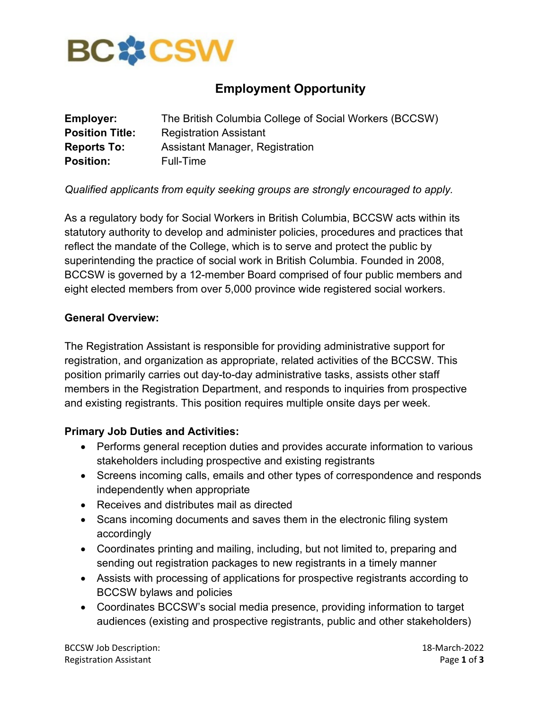

# **Employment Opportunity**

| <b>Employer:</b>       | The British Columbia College of Social Workers (BCCSW) |
|------------------------|--------------------------------------------------------|
| <b>Position Title:</b> | <b>Registration Assistant</b>                          |
| <b>Reports To:</b>     | Assistant Manager, Registration                        |
| <b>Position:</b>       | Full-Time                                              |

## *Qualified applicants from equity seeking groups are strongly encouraged to apply.*

As a regulatory body for Social Workers in British Columbia, BCCSW acts within its statutory authority to develop and administer policies, procedures and practices that reflect the mandate of the College, which is to serve and protect the public by superintending the practice of social work in British Columbia. Founded in 2008, BCCSW is governed by a 12-member Board comprised of four public members and eight elected members from over 5,000 province wide registered social workers.

### **General Overview:**

The Registration Assistant is responsible for providing administrative support for registration, and organization as appropriate, related activities of the BCCSW. This position primarily carries out day-to-day administrative tasks, assists other staff members in the Registration Department, and responds to inquiries from prospective and existing registrants. This position requires multiple onsite days per week.

### **Primary Job Duties and Activities:**

- Performs general reception duties and provides accurate information to various stakeholders including prospective and existing registrants
- Screens incoming calls, emails and other types of correspondence and responds independently when appropriate
- Receives and distributes mail as directed
- Scans incoming documents and saves them in the electronic filing system accordingly
- Coordinates printing and mailing, including, but not limited to, preparing and sending out registration packages to new registrants in a timely manner
- Assists with processing of applications for prospective registrants according to BCCSW bylaws and policies
- Coordinates BCCSW's social media presence, providing information to target audiences (existing and prospective registrants, public and other stakeholders)

BCCSW Job Description: 18-March-2022 Registration Assistant **Page 1** of **3** and **Page 1** of **3** and **Page 1** of **3**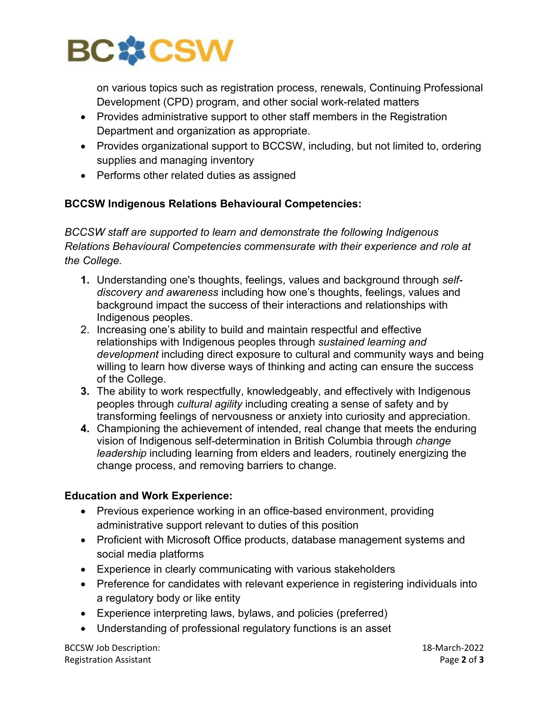

on various topics such as registration process, renewals, Continuing Professional Development (CPD) program, and other social work-related matters

- Provides administrative support to other staff members in the Registration Department and organization as appropriate.
- Provides organizational support to BCCSW, including, but not limited to, ordering supplies and managing inventory
- Performs other related duties as assigned

## **BCCSW Indigenous Relations Behavioural Competencies:**

*BCCSW staff are supported to learn and demonstrate the following Indigenous Relations Behavioural Competencies commensurate with their experience and role at the College.* 

- **1.** Understanding one's thoughts, feelings, values and background through *selfdiscovery and awareness* including how one's thoughts, feelings, values and background impact the success of their interactions and relationships with Indigenous peoples.
- 2. Increasing one's ability to build and maintain respectful and effective relationships with Indigenous peoples through *sustained learning and development* including direct exposure to cultural and community ways and being willing to learn how diverse ways of thinking and acting can ensure the success of the College.
- **3.** The ability to work respectfully, knowledgeably, and effectively with Indigenous peoples through *cultural agility* including creating a sense of safety and by transforming feelings of nervousness or anxiety into curiosity and appreciation.
- **4.** Championing the achievement of intended, real change that meets the enduring vision of Indigenous self-determination in British Columbia through *change leadership* including learning from elders and leaders, routinely energizing the change process, and removing barriers to change.

## **Education and Work Experience:**

- Previous experience working in an office-based environment, providing administrative support relevant to duties of this position
- Proficient with Microsoft Office products, database management systems and social media platforms
- Experience in clearly communicating with various stakeholders
- Preference for candidates with relevant experience in registering individuals into a regulatory body or like entity
- Experience interpreting laws, bylaws, and policies (preferred)
- Understanding of professional regulatory functions is an asset

BCCSW Job Description: 18-March-2022 Registration Assistant Page **2** of **3**